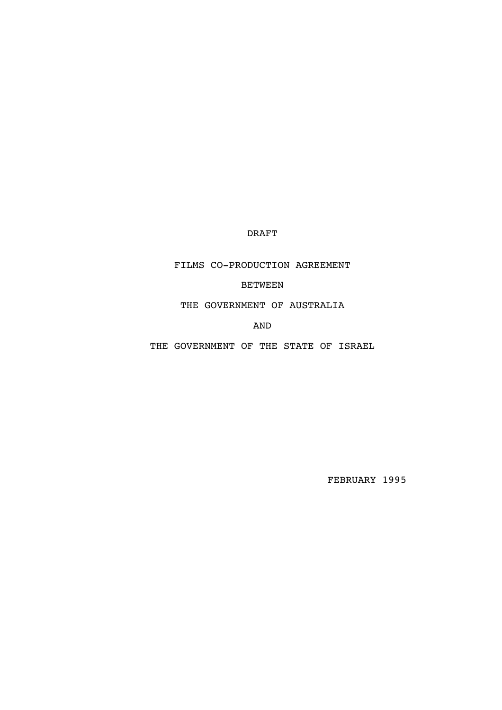DRAFT

FILMS CO-PRODUCTION AGREEMENT

BETWEEN

THE GOVERNMENT OF AUSTRALIA

AND

THE GOVERNMENT OF THE STATE OF ISRAEL

FEBRUARY 1995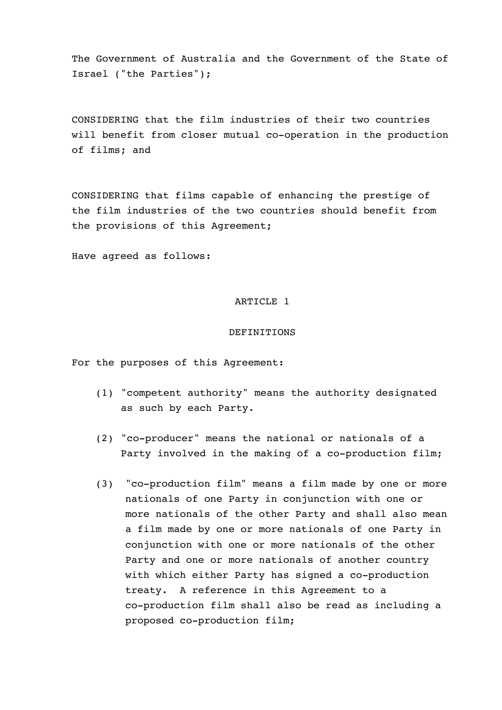The Government of Australia and the Government of the State of Israel ("the Parties");

CONSIDERING that the film industries of their two countries will benefit from closer mutual co-operation in the production of films; and

CONSIDERING that films capable of enhancing the prestige of the film industries of the two countries should benefit from the provisions of this Agreement;

Have agreed as follows:

## ARTICLE 1

#### DEFINITIONS

For the purposes of this Agreement:

- (1) "competent authority" means the authority designated as such by each Party.
- (2) "co-producer" means the national or nationals of a Party involved in the making of a co-production film;
- (3) "co-production film" means a film made by one or more nationals of one Party in conjunction with one or more nationals of the other Party and shall also mean a film made by one or more nationals of one Party in conjunction with one or more nationals of the other Party and one or more nationals of another country with which either Party has signed a co-production treaty. A reference in this Agreement to a co-production film shall also be read as including a proposed co-production film;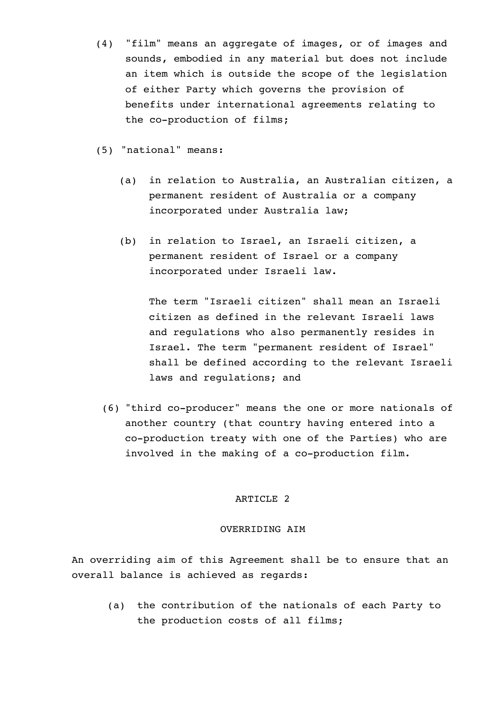- (4) "film" means an aggregate of images, or of images and sounds, embodied in any material but does not include an item which is outside the scope of the legislation of either Party which governs the provision of benefits under international agreements relating to the co-production of films;
- (5) "national" means:
	- (a) in relation to Australia, an Australian citizen, a permanent resident of Australia or a company incorporated under Australia law;
	- (b) in relation to Israel, an Israeli citizen, a permanent resident of Israel or a company incorporated under Israeli law.

The term "Israeli citizen" shall mean an Israeli citizen as defined in the relevant Israeli laws and regulations who also permanently resides in Israel. The term "permanent resident of Israel" shall be defined according to the relevant Israeli laws and regulations; and

(6) "third co-producer" means the one or more nationals of another country (that country having entered into a co-production treaty with one of the Parties) who are involved in the making of a co-production film.

#### ARTICLE 2

### OVERRIDING AIM

An overriding aim of this Agreement shall be to ensure that an overall balance is achieved as regards:

(a) the contribution of the nationals of each Party to the production costs of all films;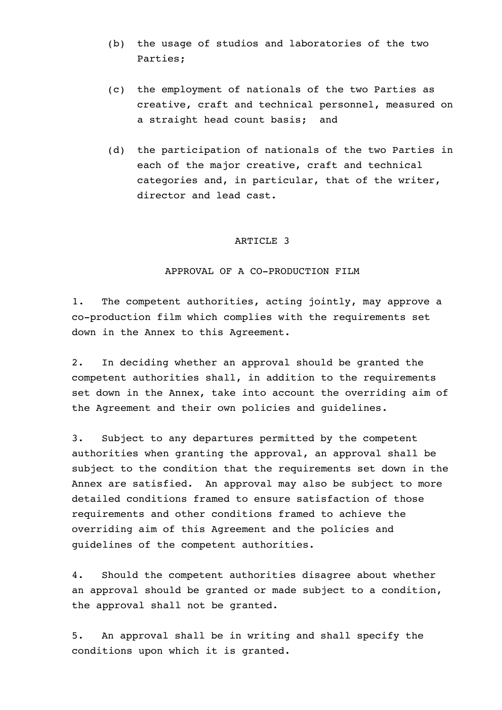- (b) the usage of studios and laboratories of the two Parties;
- (c) the employment of nationals of the two Parties as creative, craft and technical personnel, measured on a straight head count basis; and
- (d) the participation of nationals of the two Parties in each of the major creative, craft and technical categories and, in particular, that of the writer, director and lead cast.

## APPROVAL OF A CO-PRODUCTION FILM

1. The competent authorities, acting jointly, may approve a co-production film which complies with the requirements set down in the Annex to this Agreement.

2. In deciding whether an approval should be granted the competent authorities shall, in addition to the requirements set down in the Annex, take into account the overriding aim of the Agreement and their own policies and guidelines.

3. Subject to any departures permitted by the competent authorities when granting the approval, an approval shall be subject to the condition that the requirements set down in the Annex are satisfied. An approval may also be subject to more detailed conditions framed to ensure satisfaction of those requirements and other conditions framed to achieve the overriding aim of this Agreement and the policies and guidelines of the competent authorities.

4. Should the competent authorities disagree about whether an approval should be granted or made subject to a condition, the approval shall not be granted.

5. An approval shall be in writing and shall specify the conditions upon which it is granted.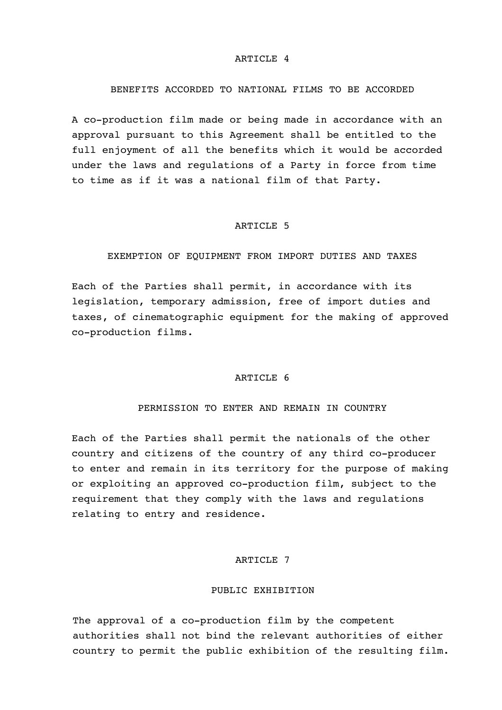### BENEFITS ACCORDED TO NATIONAL FILMS TO BE ACCORDED

A co-production film made or being made in accordance with an approval pursuant to this Agreement shall be entitled to the full enjoyment of all the benefits which it would be accorded under the laws and regulations of a Party in force from time to time as if it was a national film of that Party.

### ARTICLE 5

## EXEMPTION OF EQUIPMENT FROM IMPORT DUTIES AND TAXES

Each of the Parties shall permit, in accordance with its legislation, temporary admission, free of import duties and taxes, of cinematographic equipment for the making of approved co-production films.

### ARTICLE 6

## PERMISSION TO ENTER AND REMAIN IN COUNTRY

Each of the Parties shall permit the nationals of the other country and citizens of the country of any third co-producer to enter and remain in its territory for the purpose of making or exploiting an approved co-production film, subject to the requirement that they comply with the laws and regulations relating to entry and residence.

## ARTICLE 7

### PUBLIC EXHIBITION

The approval of a co-production film by the competent authorities shall not bind the relevant authorities of either country to permit the public exhibition of the resulting film.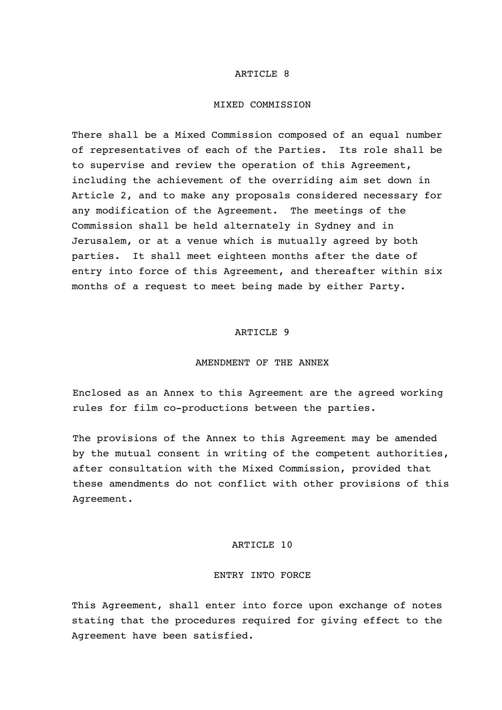#### MIXED COMMISSION

There shall be a Mixed Commission composed of an equal number of representatives of each of the Parties. Its role shall be to supervise and review the operation of this Agreement, including the achievement of the overriding aim set down in Article 2, and to make any proposals considered necessary for any modification of the Agreement. The meetings of the Commission shall be held alternately in Sydney and in Jerusalem, or at a venue which is mutually agreed by both parties. It shall meet eighteen months after the date of entry into force of this Agreement, and thereafter within six months of a request to meet being made by either Party.

# ARTICLE 9

#### AMENDMENT OF THE ANNEX

Enclosed as an Annex to this Agreement are the agreed working rules for film co-productions between the parties.

The provisions of the Annex to this Agreement may be amended by the mutual consent in writing of the competent authorities, after consultation with the Mixed Commission, provided that these amendments do not conflict with other provisions of this Agreement.

#### ARTICLE 10

#### ENTRY INTO FORCE

This Agreement, shall enter into force upon exchange of notes stating that the procedures required for giving effect to the Agreement have been satisfied.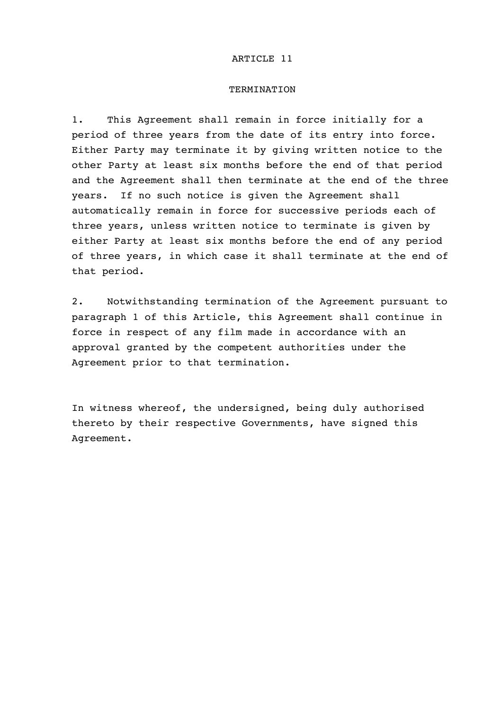### TERMINATION

1. This Agreement shall remain in force initially for a period of three years from the date of its entry into force. Either Party may terminate it by giving written notice to the other Party at least six months before the end of that period and the Agreement shall then terminate at the end of the three years. If no such notice is given the Agreement shall automatically remain in force for successive periods each of three years, unless written notice to terminate is given by either Party at least six months before the end of any period of three years, in which case it shall terminate at the end of that period.

2. Notwithstanding termination of the Agreement pursuant to paragraph 1 of this Article, this Agreement shall continue in force in respect of any film made in accordance with an approval granted by the competent authorities under the Agreement prior to that termination.

In witness whereof, the undersigned, being duly authorised thereto by their respective Governments, have signed this Agreement.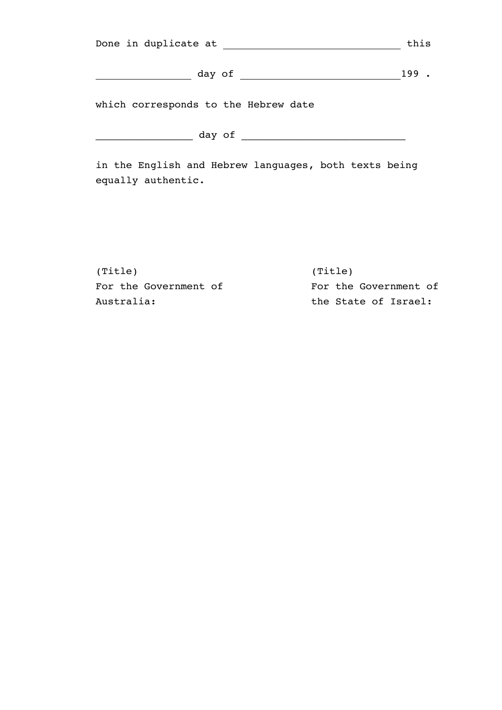| Done in duplicate at                 | this |
|--------------------------------------|------|
| day of                               | 199  |
| which corresponds to the Hebrew date |      |

\_\_\_\_\_\_\_\_\_\_\_\_\_\_\_\_ day of \_\_\_\_\_\_\_\_\_\_\_\_\_\_\_\_\_\_\_\_\_\_\_\_\_\_\_

in the English and Hebrew languages, both texts being equally authentic.

(Title) (Title) For the Government of For the Government of Australia: the State of Israel: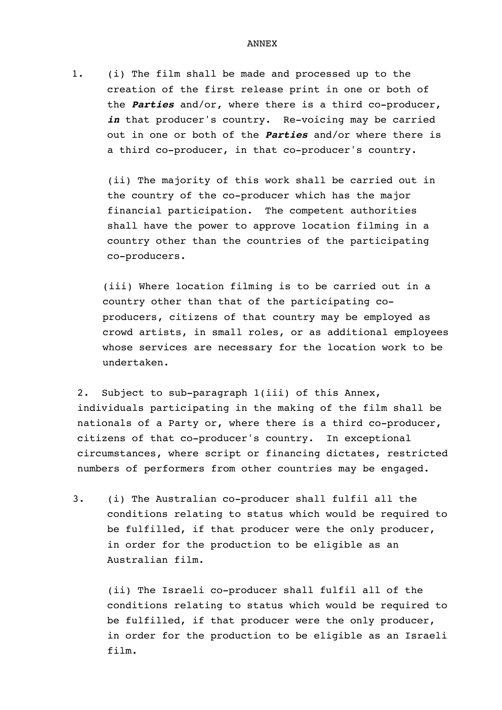1. (i) The film shall be made and processed up to the creation of the first release print in one or both of the **Parties** and/or, where there is a third co-producer, in that producer's country. Re-voicing may be carried out in one or both of the **Parties** and/or where there is a third co-producer, in that co-producer's country.

(ii) The majority of this work shall be carried out in the country of the co-producer which has the major financial participation. The competent authorities shall have the power to approve location filming in a country other than the countries of the participating co-producers.

(iii) Where location filming is to be carried out in a country other than that of the participating coproducers, citizens of that country may be employed as crowd artists, in small roles, or as additional employees whose services are necessary for the location work to be undertaken.

2. Subject to sub-paragraph 1(iii) of this Annex, individuals participating in the making of the film shall be nationals of a Party or, where there is a third co-producer, citizens of that co-producer's country. In exceptional circumstances, where script or financing dictates, restricted numbers of performers from other countries may be engaged.

3. (i) The Australian co-producer shall fulfil all the conditions relating to status which would be required to be fulfilled, if that producer were the only producer, in order for the production to be eligible as an Australian film.

(ii) The Israeli co-producer shall fulfil all of the conditions relating to status which would be required to be fulfilled, if that producer were the only producer, in order for the production to be eligible as an Israeli film.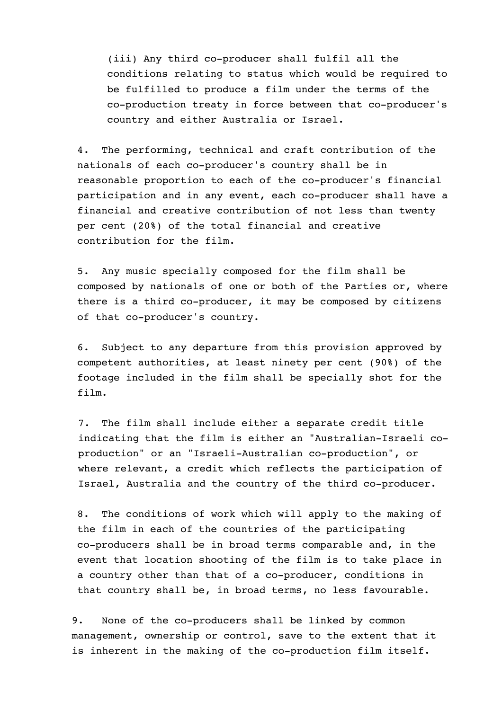(iii) Any third co-producer shall fulfil all the conditions relating to status which would be required to be fulfilled to produce a film under the terms of the co-production treaty in force between that co-producer's country and either Australia or Israel.

4. The performing, technical and craft contribution of the nationals of each co-producer's country shall be in reasonable proportion to each of the co-producer's financial participation and in any event, each co-producer shall have a financial and creative contribution of not less than twenty per cent (20%) of the total financial and creative contribution for the film.

5. Any music specially composed for the film shall be composed by nationals of one or both of the Parties or, where there is a third co-producer, it may be composed by citizens of that co-producer's country.

6. Subject to any departure from this provision approved by competent authorities, at least ninety per cent (90%) of the footage included in the film shall be specially shot for the film.

7. The film shall include either a separate credit title indicating that the film is either an "Australian-Israeli coproduction" or an "Israeli-Australian co-production", or where relevant, a credit which reflects the participation of Israel, Australia and the country of the third co-producer.

8. The conditions of work which will apply to the making of the film in each of the countries of the participating co-producers shall be in broad terms comparable and, in the event that location shooting of the film is to take place in a country other than that of a co-producer, conditions in that country shall be, in broad terms, no less favourable.

9. None of the co-producers shall be linked by common management, ownership or control, save to the extent that it is inherent in the making of the co-production film itself.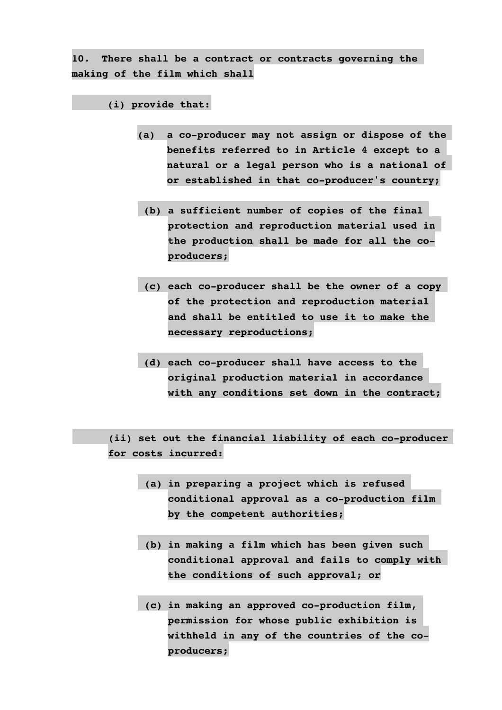**10. There shall be a contract or contracts governing the making of the film which shall**

## **(i) provide that:**

- **(a) a co-producer may not assign or dispose of the benefits referred to in Article 4 except to a natural or a legal person who is a national of or established in that co-producer's country;**
	- **(b) a sufficient number of copies of the final protection and reproduction material used in the production shall be made for all the coproducers;**
- **(c) each co-producer shall be the owner of a copy of the protection and reproduction material and shall be entitled to use it to make the necessary reproductions;**
- **(d) each co-producer shall have access to the original production material in accordance with any conditions set down in the contract;**

**(ii) set out the financial liability of each co-producer for costs incurred:**

- **(a) in preparing a project which is refused conditional approval as a co-production film by the competent authorities;**
- **(b) in making a film which has been given such conditional approval and fails to comply with the conditions of such approval; or**
- **(c) in making an approved co-production film, permission for whose public exhibition is withheld in any of the countries of the coproducers;**